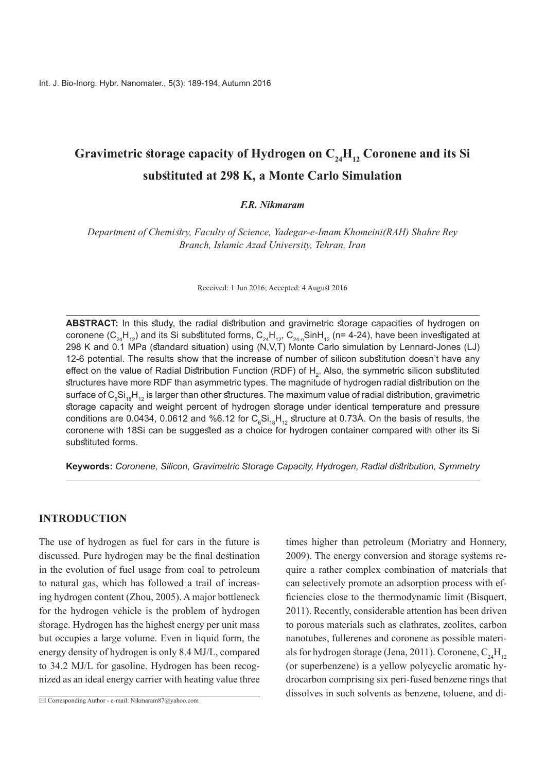# Gravimetric storage capacity of Hydrogen on  $C_{24}H_{12}$  Coronene and its Si substituted at 298 K, a Monte Carlo Simulation

#### $F.R. Nikmaram$

*Department of Chemistry, Faculty of Science, Yadegar-e-Imam Khomeini(RAH) Shahre Rey Branch, Islamic Azad University, Tehran, Iran* 

Received: 1 Jun 2016; Accepted: 4 August 2016

ABSTRACT: In this study, the radial distribution and gravimetric storage capacities of hydrogen on coronene ( $C_{24}H_{12}$ ) and its Si substituted forms,  $C_{24}H_{12}$ ,  $C_{24n}S$ inH<sub>12</sub> (n= 4-24), have been investigated at (298 K and 0.1 MPa (standard situation) using (N.V.T) Monte Carlo simulation by Lennard-Jones (LJ) 12-6 potential. The results show that the increase of number of silicon substitution doesn't have any effect on the value of Radial Distribution Function (RDF) of  ${\sf H}_{_2}$ . Also, the symmetric silicon substituted structures have more RDF than asymmetric types. The magnitude of hydrogen radial distribution on the surface of  $\mathsf{C}_6\mathsf{Si}_{\cdot 8}\mathsf{H}_{\cdot 12}$  is larger than other structures. The maximum value of radial distribution, gravimetric storage capacity and weight percent of hydrogen storage under identical temperature and pressure conditions are 0.0434, 0.0612 and %6.12 for  $\mathsf{C_6Si_{18}H_{12}}$  structure at 0.73Å. On the basis of results, the coronene with 18Si can be suggested as a choice for hydrogen container compared with other its Si substituted forms.

*Symmetry ,distribution Radial ,Hydrogen ,Capacity Storage Gravimetric ,Silicon ,Coronene* **:Keywords**

#### **INTRODUCTION**

The use of hydrogen as fuel for cars in the future is discussed. Pure hydrogen may be the final destination in the evolution of fuel usage from coal to petroleum ing hydrogen content (Zhou,  $2005$ ). A major bottleneck to natural gas, which has followed a trail of increasfor the hydrogen vehicle is the problem of hydrogen storage. Hydrogen has the highest energy per unit mass but occupies a large volume. Even in liquid form, the energy density of hydrogen is only 8.4 MJ/L, compared nized as an ideal energy carrier with heating value three to 34.2 MJ/L for gasoline. Hydrogen has been recogtimes higher than petroleum (Moriatry and Honnery, quire a rather complex combination of materials that 2009). The energy conversion and storage systems reficiencies close to the thermodynamic limit (Bisquert, can selectively promote an adsorption process with ef-2011). Recently, considerable attention has been driven to porous materials such as clathrates, zeolites, carbon als for hydrogen storage (Jena, 2011). Coronene,  $C_{24}H_{12}$ nanotubes, fullerenes and coronene as possible materi-(or superbenzene) is a yellow polycyclic aromatic hy-<br>drocarbon comprising six peri-fused benzene rings that dissolves in such solvents as benzene, toluene, and di-

 $\overline{\boxtimes}$  Corresponding Author - e-mail: Nikmaram 87@yahoo.com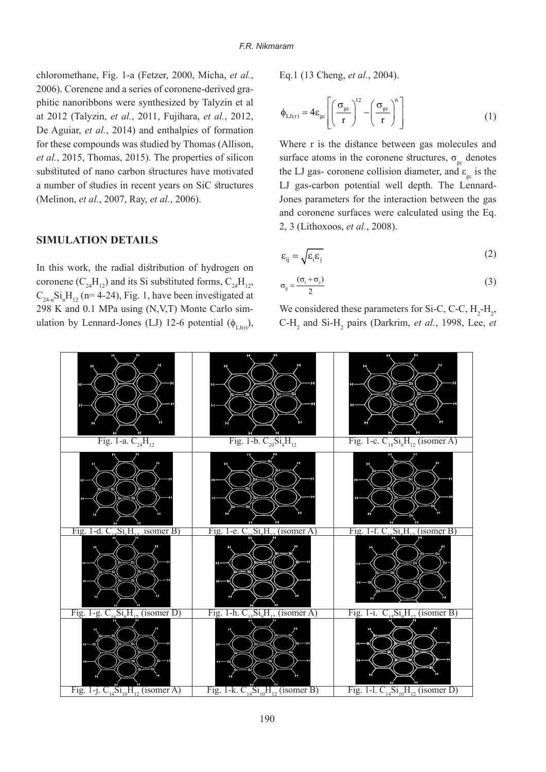*chloromethane, Fig. 1-a (Fetzer, 2000, Micha, et al.,* phitic nanoribbons were synthesized by Talyzin et al 2006). Corenene and a series of coronene-derived graat 2012 (Talyzin, et al., 2011, Fujihara, et al., 2012, De Aguiar, et al., 2014) and enthalpies of formation for these compounds was studied by Thomas (Allison, et al., 2015, Thomas, 2015). The properties of silicon substituted of nano carbon structures have motivated a number of studies in recent years on SiC structures *(Melinon, et al., 2007, Ray, et al., 2006).* 

### **SIMULATION DETAILS**

In this work, the radial distribution of hydrogen on coronene  $(C_{24}H_{12})$  and its Si substituted forms,  $C_{24}H_{12}$ ,  $C_{24-n}$ Si<sub>n</sub>H<sub>12</sub> (n= 4-24), Fig. 1, have been investigated at ulation by Lennard-Jones (LJ) 12-6 potential  $(\phi_{\text{L}_\text{U}_\text{U}_\text{U}})$ , 298 K and 0.1 MPa using  $(N, V, T)$  Monte Carlo simEq.1 (13 Cheng, *et al.*, 2004).

$$
\phi_{LJ(r)} = 4\varepsilon_{gc} \left[ \left( \frac{\sigma_{gc}}{r} \right)^{12} - \left( \frac{\sigma_{gc}}{r} \right)^{6} \right]
$$
 (1)

Where r is the distance between gas molecules and surface atoms in the coronene structures,  $\sigma_{\text{sc}}$  denotes the LJ gas- coronene collision diameter, and  $\varepsilon_{gc}$  is the Jones parameters for the interaction between the gas LJ gas-carbon potential well depth. The Lennardand coronene surfaces were calculated using the Eq. 2, 3 (Lithoxoos, et al., 2008).

$$
\varepsilon_{ij} = \sqrt{\varepsilon_i \varepsilon_j} \tag{2}
$$

$$
\sigma_{ij} = \frac{(\sigma_i + \sigma_j)}{2} \tag{3}
$$

We considered these parameters for Si-C, C-C,  $H_2$ - $H_2$ , C-H<sub>2</sub> and Si-H<sub>2</sub> pairs (Darkrim, et al., 1998, Lee, et

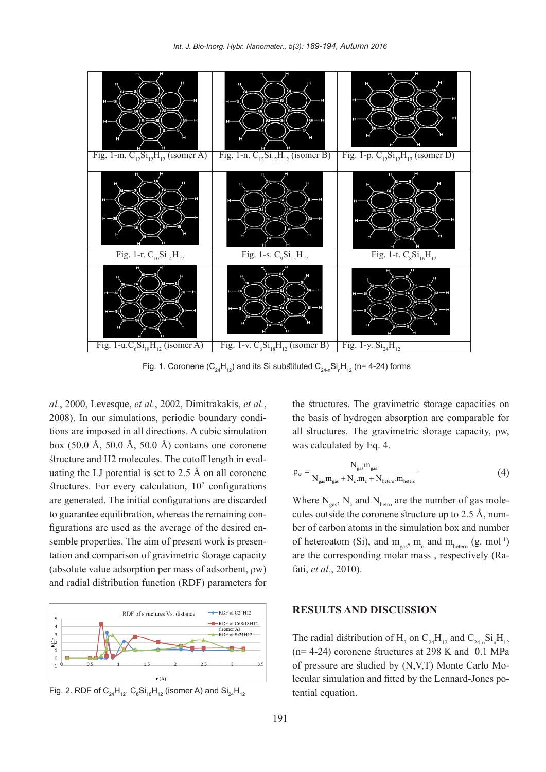

Fig. 1. Coronene (C $_{\rm 24}$ H $_{\rm 12}$ ) and its Si substituted C $_{\rm 24n}$ Si $_{\rm n}$ H $_{\rm 12}$  (n= 4-24) forms

*al.*, 2000, Levesque, *et al.*, 2002, *Dimitrakakis, <i>et al.*, tions are imposed in all directions. A cubic simulation 2008). In our simulations, periodic boundary condibox  $(50.0 \text{ Å}, 50.0 \text{ Å}, 50.0 \text{ Å})$  contains one coronene uating the LJ potential is set to  $2.5 \text{ Å}$  on all coronene structure and H2 molecules. The cutoff length in evalstructures. For every calculation,  $10<sup>7</sup>$  configurations are generated. The initial configurations are discarded tation and comparison of gravimetric storage capacity semble properties. The aim of present work is presenfigurations are used as the average of the desired ento guarantee equilibration, whereas the remaining con-(absolute value adsorption per mass of adsorbent,  $\rho w$ ) and radial distribution function (RDF) parameters for



Fig. 2. RDF of  $\mathsf{C}_{\mathsf{24}}\mathsf{H}_{\mathsf{12}}$ ,  $\mathsf{C}_{\mathsf{6}}\mathsf{Si}_{\mathsf{18}}\mathsf{H}_{\mathsf{12}}$  (isomer A) and  $\mathsf{Si}_{\mathsf{24}}\mathsf{H}_{\mathsf{12}}$ 

the structures. The gravimetric storage capacities on the basis of hydrogen absorption are comparable for all structures. The gravimetric storage capacity, pw, was calculated by Eq. 4.

$$
\rho_{\rm w} = \frac{N_{\rm gas} m_{\rm gas}}{N_{\rm gas} + N_{\rm e} \cdot m_{\rm e} + N_{\rm hetero} \cdot m_{\rm hetero}} \tag{4}
$$

Where  $N_{gas}$ ,  $N_c$  and  $N_{hetro}$  are the number of gas molecules outside the coronene structure up to 2.5 Å, numcules outside the coronene structure up to  $2.5 \text{ Å}$ , number of carbon atoms in the simulation box and number of heteroatom (Si), and  $m_{gas}$ ,  $m_c$  and  $m_{hetero}$  (g. mol<sup>-1</sup>) are the corresponding molar mass, respectively (Ra-<br>fati, *et al.*, 2010).

### **RESULTS AND DISCUSSION**

The radial distribution of H<sub>2</sub> on C<sub>24</sub>H<sub>12</sub> and C<sub>24-n</sub>Si<sub>n</sub>H<sub>12</sub>  $(n= 4-24)$  coronene structures at 298 K and 0.1 MPa lecular simulation and fitted by the Lennard-Jones potential equation. of pressure are studied by  $(N, V, T)$  Monte Carlo Mo-<br>lecular simulation and fitted by the Lennard-Jones poof pressure are studied by (N,V,T) Monte Carlo Mo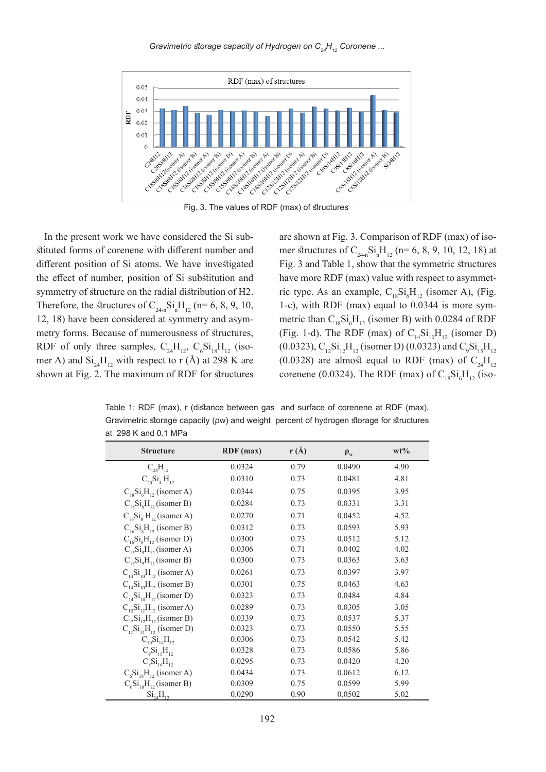*Gravimetric storage capacity of Hydrogen on C<sub>24</sub>H<sub>12</sub> Coronene ...* 



Fig. 3. The values of RDF (max) of structures

stituted forms of corenene with different number and In the present work we have considered the Si subdifferent position of Si atoms. We have investigated the effect of number, position of Si substitution and symmetry of structure on the radial distribution of H2. Therefore, the structures of  $C_{24n}Si_nH_{12}$  (n= 6, 8, 9, 10, metry forms. Because of numerousness of structures, 12, 18) have been considered at symmetry and asym-RDF of only three samples,  $C_{24}H_{12}$ ,  $C_6Si_{18}H_{12}$  (iso mer A) and  $\text{Si}_{24}\text{H}_{12}$  with respect to r (Å) at 298 K are shown at Fig. 2. The maximum of RDF for structures

are shown at Fig. 3. Comparison of RDF (max) of iso-<br>mer structures of  $C_{24n}Si_nH_{12}$  (n= 6, 8, 9, 10, 12, 18) at are shown at Fig. 3. Comparison of RDF (max) of iso-Fig. 3 and Table 1, show that the symmetric structures have more RDF (max) value with respect to asymmet-<br>ric-type. As an example,  $C_{18}Si_{\phi}H_{12}$  (isomer A), (Fig. have more RDF (max) value with respect to asymmet-1-c), with RDF (max) equal to 0.0344 is more symmetric than  $C_{18}Si_{\phi}H_{12}$  (isomer B) with 0.0284 of RDF 1-c), with RDF (max) equal to  $0.0344$  is more sym-(Fig. 1-d). The RDF (max) of  $C_{14}Si_{10}H_{12}$  (isomer D) (0.0323),  $C_{12}Si_{12}H_{12}$  (isomer D) (0.0323) and  $C_9Si_{15}H_{12}$ (0.0328) are almost equal to RDF (max) of  $C_{24}H_{12}$ corenene (0.0324). The RDF (max) of  $C_{18}Si_{6}H_{12}$  (iso-

Table 1: RDF (max), r (distance between gas and surface of corenene at RDF (max), Gravimetric storage capacity (ρw) and weight percent of hydrogen storage for structures at  $298$  K and 0.1 MPa

| <b>Structure</b>                 | RDF(max) | r(A) | $\rho_w$ | $wt\%$ |
|----------------------------------|----------|------|----------|--------|
| $C_{24}H_{12}$                   | 0.0324   | 0.79 | 0.0490   | 4.90   |
| $C_{20}Si_4H_{12}$               | 0.0310   | 0.73 | 0.0481   | 4.81   |
| $C_{18}Si6H12$ (isomer A)        | 0.0344   | 0.75 | 0.0395   | 3.95   |
| $C_{18}Si6H12$ (isomer B)        | 0.0284   | 0.73 | 0.0331   | 3.31   |
| $C_{16}Si_8 H_{12}$ (isomer A)   | 0.0270   | 0.71 | 0.0452   | 4.52   |
| $C_{16}Si_8H_{12}$ (isomer B)    | 0.0312   | 0.73 | 0.0593   | 5.93   |
| $C_{16}Si_8H_{12}$ (isomer D)    | 0.0300   | 0.73 | 0.0512   | 5.12   |
| $C_{15}Si_0H_{12}$ (isomer A)    | 0.0306   | 0.71 | 0.0402   | 4.02   |
| $C_{15}Si_0H_{12}$ (isomer B)    | 0.0300   | 0.73 | 0.0363   | 3.63   |
| $C_{14}Si_{10}H_{12}$ (isomer A) | 0.0261   | 0.73 | 0.0397   | 3.97   |
| $C_{14}Si_{10}H_{12}$ (isomer B) | 0.0301   | 0.75 | 0.0463   | 4.63   |
| $C_{14}Si_{10}H_{12}$ (isomer D) | 0.0323   | 0.73 | 0.0484   | 4.84   |
| $C_1, Si_1, H_1$ (isomer A)      | 0.0289   | 0.73 | 0.0305   | 3.05   |
| $C_1, Si_1, H_1$ (isomer B)      | 0.0339   | 0.73 | 0.0537   | 5.37   |
| $C_1, Si_1, H_1,$ (isomer D)     | 0.0323   | 0.73 | 0.0550   | 5.55   |
| $C_{10}Si_{14}H_{12}$            | 0.0306   | 0.73 | 0.0542   | 5.42   |
| $C_0Si_{15}H_{12}$               | 0.0328   | 0.73 | 0.0586   | 5.86   |
| $C_8Si_{16}H_{12}$               | 0.0295   | 0.73 | 0.0420   | 4.20   |
| $C_6Si_{18}H_{12}$ (isomer A)    | 0.0434   | 0.73 | 0.0612   | 6.12   |
| $C_6Si_{18}H_{12}$ (isomer B)    | 0.0309   | 0.75 | 0.0599   | 5.99   |
| $Si_{24}H_{12}$                  | 0.0290   | 0.90 | 0.0502   | 5.02   |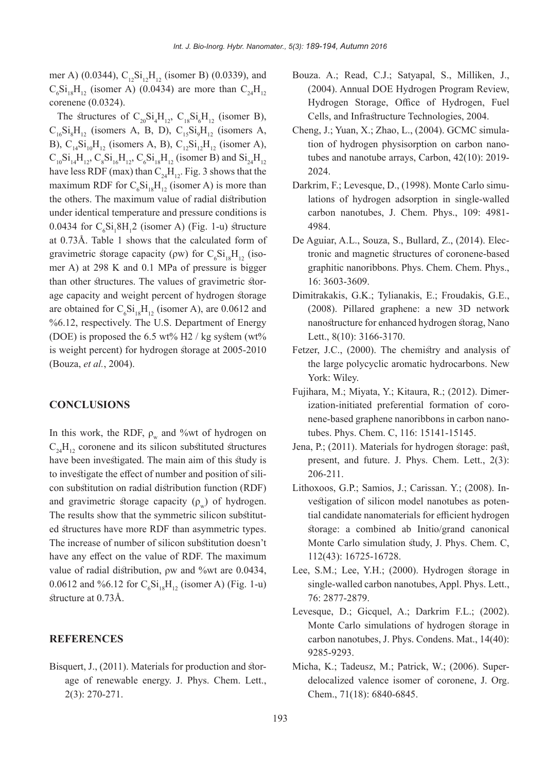mer A) (0.0344),  $C_1, Si_2H_1$  (isomer B) (0.0339), and  $C_6Si_{18}H_{12}$  (isomer A) (0.0434) are more than  $C_{24}H_{12}$ corenene  $(0.0324)$ .

The structures of  $C_{20}Si_4H_{12}$ ,  $C_{18}Si_6H_{12}$  (isomer B),  $C_{16}Si_8H_{12}$  (isomers A, B, D),  $C_{15}Si_9H_{12}$  (isomers A, B),  $C_{14}Si_{10}H_{12}$  (isomers A, B),  $C_{12}Si_{12}H_{12}$  (isomer A),  $C_{10}Si_{14}H_{12}$ ,  $C_8Si_{16}H_{12}$ ,  $C_6Si_{18}H_{12}$  (isomer B) and  $Si_{24}H_{12}$ have less RDF (max) than  $C_{24}H_{12}$ . Fig. 3 shows that the maximum RDF for  $C_6Si_{18}H_{12}$  (isomer A) is more than the others. The maximum value of radial distribution under identical temperature and pressure conditions is 0.0434 for  $C_6Si_18H_12$  (isomer A) (Fig. 1-u) structure at 0.73Å. Table 1 shows that the calculated form of gravimetric storage capacity ( $\rho w$ ) for  $C_6Si_{18}H_{12}$  (isomer A) at 298 K and 0.1 MPa of pressure is bigger age capacity and weight percent of hydrogen storagethan other structures. The values of gravimetric storare obtained for  $C_6Si_{18}H_{12}$  (isomer A), are 0.0612 and  $%6.12$ , respectively. The U.S. Department of Energy (DOE) is proposed the 6.5  $wt\%$  H2 / kg system (wt%) is weight percent) for hydrogen storage at  $2005-2010$ (Bouza, et al., 2004).

#### **CONCLUSIONS**

In this work, the RDF,  $\rho_w$  and %wt of hydrogen on  $C_{24}H_{12}$  coronene and its silicon substituted structures have been investigated. The main aim of this study is con substitution on radial distribution function (RDF) to investigate the effect of number and position of siliand gravimetric storage capacity  $(\rho)$  of hydrogen. ed structures have more RDF than asymmetric types. The results show that the symmetric silicon substitut-The increase of number of silicon substitution doesn't have any effect on the value of RDF. The maximum value of radial distribution,  $\rho w$  and %wt are 0.0434, 0.0612 and %6.12 for  $C_6Si_{18}H_{12}$  (isomer A) (Fig. 1-u) structure at 0.73Å.

## **REFERENCES**

age of renewable energy. J. Phys. Chem. Lett., Bisquert, J., (2011). Materials for production and stor- $2(3): 270-271.$ 

- Bouza. A.; Read, C.J.; Satyapal, S., Milliken, J., (2004). Annual DOE Hydrogen Program Review, Hydrogen Storage, Office of Hydrogen, Fuel Cells, and Infrastructure Technologies, 2004.
- tion of hydrogen physisorption on carbon nanotubes and nanotube arrays, Carbon,  $42(10)$ : 2019-Cheng, J.; Yuan, X.; Zhao, L., (2004). GCMC simula-<br>tion of hydrogen physisorption on carbon nano-2024.
- lations of hydrogen adsorption in single-walled Darkrim, F.; Levesque, D., (1998). Monte Carlo simucarbon nanotubes, J. Chem. Phys., 109: 4981-4984.
- tronic and magnetic structures of coronene-based De Aguiar, A.L., Souza, S., Bullard, Z., (2014). Elecgraphitic nanoribbons. Phys. Chem. Chem. Phys., 3603-3609. 16:
- Dimitrakakis, G.K.; Tylianakis, E.; Froudakis, G.E.,  $(2008)$ . Pillared graphene: a new 3D network nanostructure for enhanced hydrogen storag, Nano Lett.,  $8(10)$ : 3166-3170.
- Fetzer, J.C., (2000). The chemistry and analysis of the large polycyclic aromatic hydrocarbons. New York: Wiley.
- nene-based graphene nanoribbons in carbon nano-<br>tubes. Phys. Chem. C, 116: 15141-15145. ization-initiated preferential formation of coro-<br>nene-based graphene nanoribbons in carbon nanoization-initiated preferential formation of coro-Fujihara, M.; Miyata, Y.; Kitaura, R.; (2012). Dimer-
- Jena, P.; (2011). Materials for hydrogen storage: past, present, and future. J. Phys. Chem. Lett.,  $2(3)$ : 206-211.
- tial candidate nanomaterials for efficient hydrogen vestigation of silicon model nanotubes as poten-Lithoxoos, G.P.; Samios, J.; Carissan, Y.; (2008). Instorage: a combined ab Initio/grand canonical Monte Carlo simulation study, J. Phys. Chem. C, 112(43): 16725-16728.
- Lee, S.M.; Lee, Y.H.; (2000). Hydrogen storage in single-walled carbon nanotubes, Appl. Phys. Lett., 2877-2879. 76:
- Levesque, D.; Gicquel, A.; Darkrim F.L.; (2002). Monte Carlo simulations of hydrogen storage in carbon nanotubes, J. Phys. Condens. Mat., 14(40): 9285-9293.
- delocalized valence isomer of coronene, J. Org. Micha, K.; Tadeusz, M.; Patrick, W.; (2006). Super-Chem., 71(18): 6840-6845.